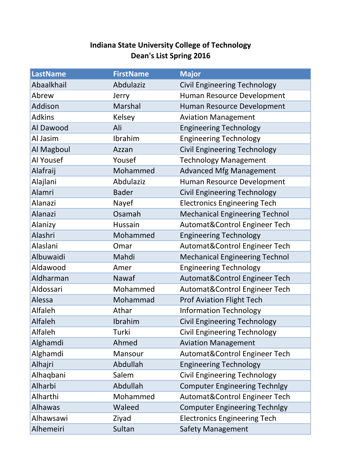## **Indiana State University College of Technology Dean's List Spring 2016**

| <b>LastName</b> | <b>FirstName</b> | <b>Major</b>                          |
|-----------------|------------------|---------------------------------------|
| Abaalkhail      | Abdulaziz        | <b>Civil Engineering Technology</b>   |
| Abrew           | Jerry            | Human Resource Development            |
| Addison         | <b>Marshal</b>   | Human Resource Development            |
| <b>Adkins</b>   | Kelsey           | <b>Aviation Management</b>            |
| Al Dawood       | Ali              | <b>Engineering Technology</b>         |
| Al Jasim        | Ibrahim          | <b>Engineering Technology</b>         |
| Al Magboul      | Azzan            | <b>Civil Engineering Technology</b>   |
| Al Yousef       | Yousef           | <b>Technology Management</b>          |
| Alafraij        | Mohammed         | <b>Advanced Mfg Management</b>        |
| Alajlani        | Abdulaziz        | Human Resource Development            |
| Alamri          | <b>Bader</b>     | <b>Civil Engineering Technology</b>   |
| Alanazi         | Nayef            | <b>Electronics Engineering Tech</b>   |
| Alanazi         | Osamah           | <b>Mechanical Engineering Technol</b> |
| Alanizy         | Hussain          | Automat&Control Engineer Tech         |
| Alashri         | Mohammed         | <b>Engineering Technology</b>         |
| Alaslani        | Omar             | Automat&Control Engineer Tech         |
| Albuwaidi       | Mahdi            | <b>Mechanical Engineering Technol</b> |
| Aldawood        | Amer             | <b>Engineering Technology</b>         |
| Aldharman       | Nawaf            | Automat&Control Engineer Tech         |
| Aldossari       | Mohammed         | Automat&Control Engineer Tech         |
| Alessa          | Mohammad         | <b>Prof Aviation Flight Tech</b>      |
| Alfaleh         | Athar            | <b>Information Technology</b>         |
| Alfaleh         | Ibrahim          | <b>Civil Engineering Technology</b>   |
| Alfaleh         | Turki            | <b>Civil Engineering Technology</b>   |
| Alghamdi        | Ahmed            | <b>Aviation Management</b>            |
| Alghamdi        | Mansour          | Automat&Control Engineer Tech         |
| Alhajri         | Abdullah         | <b>Engineering Technology</b>         |
| Alhaqbani       | Salem            | <b>Civil Engineering Technology</b>   |
| Alharbi         | Abdullah         | <b>Computer Engineering Technlgy</b>  |
| Alharthi        | Mohammed         | Automat&Control Engineer Tech         |
| Alhawas         | Waleed           | <b>Computer Engineering Technlgy</b>  |
| Alhawsawi       | Ziyad            | <b>Electronics Engineering Tech</b>   |
| Alhemeiri       | Sultan           | <b>Safety Management</b>              |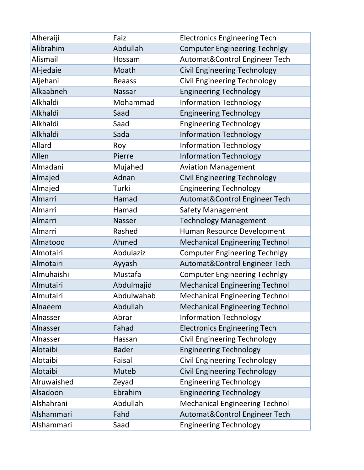| Alheraiji   | Faiz          | <b>Electronics Engineering Tech</b>   |
|-------------|---------------|---------------------------------------|
| Alibrahim   | Abdullah      | <b>Computer Engineering Technlgy</b>  |
| Alismail    | Hossam        | Automat&Control Engineer Tech         |
| Al-jedaie   | Moath         | <b>Civil Engineering Technology</b>   |
| Aljehani    | Reaass        | <b>Civil Engineering Technology</b>   |
| Alkaabneh   | <b>Nassar</b> | <b>Engineering Technology</b>         |
| Alkhaldi    | Mohammad      | <b>Information Technology</b>         |
| Alkhaldi    | Saad          | <b>Engineering Technology</b>         |
| Alkhaldi    | Saad          | <b>Engineering Technology</b>         |
| Alkhaldi    | Sada          | <b>Information Technology</b>         |
| Allard      | Roy           | <b>Information Technology</b>         |
| Allen       | Pierre        | <b>Information Technology</b>         |
| Almadani    | Mujahed       | <b>Aviation Management</b>            |
| Almajed     | Adnan         | <b>Civil Engineering Technology</b>   |
| Almajed     | Turki         | <b>Engineering Technology</b>         |
| Almarri     | Hamad         | Automat&Control Engineer Tech         |
| Almarri     | Hamad         | <b>Safety Management</b>              |
| Almarri     | Nasser        | <b>Technology Management</b>          |
| Almarri     | Rashed        | Human Resource Development            |
| Almatooq    | Ahmed         | <b>Mechanical Engineering Technol</b> |
| Almotairi   | Abdulaziz     | <b>Computer Engineering Technlgy</b>  |
| Almotairi   | Ayyash        | Automat&Control Engineer Tech         |
| Almuhaishi  | Mustafa       | <b>Computer Engineering Technlgy</b>  |
| Almutairi   | Abdulmajid    | <b>Mechanical Engineering Technol</b> |
| Almutairi   | Abdulwahab    | <b>Mechanical Engineering Technol</b> |
| Alnaeem     | Abdullah      | <b>Mechanical Engineering Technol</b> |
| Alnasser    | Abrar         | <b>Information Technology</b>         |
| Alnasser    | Fahad         | <b>Electronics Engineering Tech</b>   |
| Alnasser    | Hassan        | <b>Civil Engineering Technology</b>   |
| Alotaibi    | <b>Bader</b>  | <b>Engineering Technology</b>         |
| Alotaibi    | Faisal        | <b>Civil Engineering Technology</b>   |
| Alotaibi    | Muteb         | <b>Civil Engineering Technology</b>   |
| Alruwaished | Zeyad         | <b>Engineering Technology</b>         |
| Alsadoon    | Ebrahim       | <b>Engineering Technology</b>         |
| Alshahrani  | Abdullah      | <b>Mechanical Engineering Technol</b> |
| Alshammari  | Fahd          | Automat&Control Engineer Tech         |
| Alshammari  | Saad          | <b>Engineering Technology</b>         |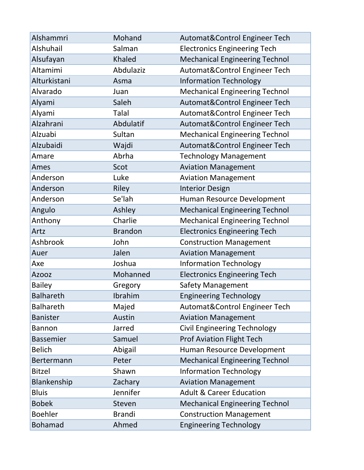| Alshammri        | Mohand         | Automat&Control Engineer Tech         |
|------------------|----------------|---------------------------------------|
| Alshuhail        | Salman         | <b>Electronics Engineering Tech</b>   |
| Alsufayan        | Khaled         | <b>Mechanical Engineering Technol</b> |
| Altamimi         | Abdulaziz      | Automat&Control Engineer Tech         |
| Alturkistani     | Asma           | <b>Information Technology</b>         |
| Alvarado         | Juan           | <b>Mechanical Engineering Technol</b> |
| Alyami           | Saleh          | Automat&Control Engineer Tech         |
| Alyami           | <b>Talal</b>   | Automat&Control Engineer Tech         |
| Alzahrani        | Abdulatif      | Automat&Control Engineer Tech         |
| Alzuabi          | Sultan         | <b>Mechanical Engineering Technol</b> |
| Alzubaidi        | Wajdi          | Automat&Control Engineer Tech         |
| Amare            | Abrha          | <b>Technology Management</b>          |
| Ames             | Scot           | <b>Aviation Management</b>            |
| Anderson         | Luke           | <b>Aviation Management</b>            |
| Anderson         | Riley          | <b>Interior Design</b>                |
| Anderson         | Se'lah         | Human Resource Development            |
| Angulo           | Ashley         | <b>Mechanical Engineering Technol</b> |
| Anthony          | Charlie        | <b>Mechanical Engineering Technol</b> |
| Artz             | <b>Brandon</b> | <b>Electronics Engineering Tech</b>   |
| Ashbrook         | John           | <b>Construction Management</b>        |
| Auer             | Jalen          | <b>Aviation Management</b>            |
| Axe              | Joshua         | <b>Information Technology</b>         |
| <b>Azooz</b>     | Mohanned       | <b>Electronics Engineering Tech</b>   |
| <b>Bailey</b>    | Gregory        | <b>Safety Management</b>              |
| <b>Balhareth</b> | Ibrahim        | <b>Engineering Technology</b>         |
| <b>Balhareth</b> | Majed          | Automat&Control Engineer Tech         |
| <b>Banister</b>  | Austin         | <b>Aviation Management</b>            |
| <b>Bannon</b>    | Jarred         | <b>Civil Engineering Technology</b>   |
| <b>Bassemier</b> | Samuel         | <b>Prof Aviation Flight Tech</b>      |
| <b>Belich</b>    | Abigail        | Human Resource Development            |
| Bertermann       | Peter          | <b>Mechanical Engineering Technol</b> |
| <b>Bitzel</b>    | Shawn          | <b>Information Technology</b>         |
| Blankenship      | Zachary        | <b>Aviation Management</b>            |
| <b>Bluis</b>     | Jennifer       | <b>Adult &amp; Career Education</b>   |
| <b>Bobek</b>     | Steven         | <b>Mechanical Engineering Technol</b> |
| <b>Boehler</b>   | <b>Brandi</b>  | <b>Construction Management</b>        |
| <b>Bohamad</b>   | Ahmed          | <b>Engineering Technology</b>         |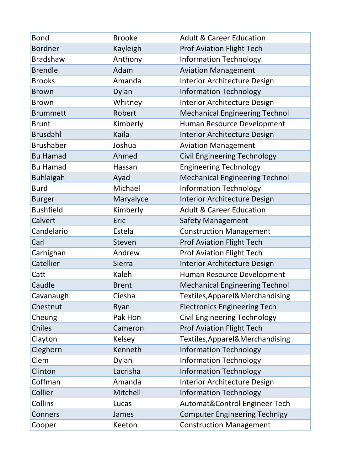| <b>Bond</b><br><b>Bordner</b> | <b>Brooke</b> | <b>Adult &amp; Career Education</b>   |
|-------------------------------|---------------|---------------------------------------|
| <b>Bradshaw</b>               | Kayleigh      | <b>Prof Aviation Flight Tech</b>      |
|                               | Anthony       | <b>Information Technology</b>         |
| <b>Brendle</b>                | Adam          | <b>Aviation Management</b>            |
| <b>Brooks</b>                 | Amanda        | Interior Architecture Design          |
| <b>Brown</b>                  | Dylan         | <b>Information Technology</b>         |
| <b>Brown</b>                  | Whitney       | Interior Architecture Design          |
| <b>Brummett</b>               | Robert        | <b>Mechanical Engineering Technol</b> |
| <b>Brunt</b>                  | Kimberly      | Human Resource Development            |
| <b>Brusdahl</b>               | Kaila         | Interior Architecture Design          |
| <b>Brushaber</b>              | Joshua        | <b>Aviation Management</b>            |
| <b>Bu Hamad</b>               | Ahmed         | <b>Civil Engineering Technology</b>   |
| <b>Bu Hamad</b>               | Hassan        | <b>Engineering Technology</b>         |
| <b>Buhlaigah</b>              | Ayad          | <b>Mechanical Engineering Technol</b> |
| <b>Burd</b>                   | Michael       | <b>Information Technology</b>         |
| <b>Burger</b>                 | Maryalyce     | <b>Interior Architecture Design</b>   |
| <b>Bushfield</b>              | Kimberly      | <b>Adult &amp; Career Education</b>   |
| Calvert                       | Eric          | <b>Safety Management</b>              |
| Candelario                    | Estela        | <b>Construction Management</b>        |
| Carl                          | Steven        | <b>Prof Aviation Flight Tech</b>      |
| Carnighan                     | Andrew        | <b>Prof Aviation Flight Tech</b>      |
| Catellier                     | <b>Sierra</b> | Interior Architecture Design          |
| Catt                          | Kaleh         | Human Resource Development            |
| Caudle                        | <b>Brent</b>  | <b>Mechanical Engineering Technol</b> |
| Cavanaugh                     | Ciesha        | Textiles, Apparel& Merchandising      |
| Chestnut                      | Ryan          | <b>Electronics Engineering Tech</b>   |
| Cheung                        | Pak Hon       | <b>Civil Engineering Technology</b>   |
| Chiles                        | Cameron       | <b>Prof Aviation Flight Tech</b>      |
| Clayton                       | Kelsey        | Textiles, Apparel& Merchandising      |
| Cleghorn                      | Kenneth       | <b>Information Technology</b>         |
| Clem                          | Dylan         | <b>Information Technology</b>         |
| Clinton                       | Lacrisha      | <b>Information Technology</b>         |
| Coffman                       | Amanda        | <b>Interior Architecture Design</b>   |
| Collier                       | Mitchell      | <b>Information Technology</b>         |
| Collins                       | Lucas         | Automat&Control Engineer Tech         |
| Conners                       | James         | <b>Computer Engineering Technlgy</b>  |
| Cooper                        | Keeton        | <b>Construction Management</b>        |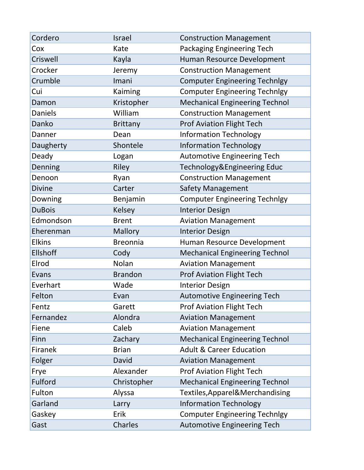| Cordero         | Israel          | <b>Construction Management</b>        |
|-----------------|-----------------|---------------------------------------|
| Cox             | Kate            | Packaging Engineering Tech            |
| Criswell        | Kayla           | Human Resource Development            |
| Crocker         | Jeremy          | <b>Construction Management</b>        |
| Crumble         | Imani           | <b>Computer Engineering Technlgy</b>  |
| Cui             | Kaiming         | <b>Computer Engineering Technlgy</b>  |
| Damon           | Kristopher      | <b>Mechanical Engineering Technol</b> |
| <b>Daniels</b>  | William         | <b>Construction Management</b>        |
| Danko           | <b>Brittany</b> | <b>Prof Aviation Flight Tech</b>      |
| Danner          | Dean            | <b>Information Technology</b>         |
| Daugherty       | Shontele        | <b>Information Technology</b>         |
| Deady           | Logan           | <b>Automotive Engineering Tech</b>    |
| Denning         | Riley           | Technology&Engineering Educ           |
| Denoon          | Ryan            | <b>Construction Management</b>        |
| <b>Divine</b>   | Carter          | <b>Safety Management</b>              |
| Downing         | Benjamin        | <b>Computer Engineering Technlgy</b>  |
| <b>DuBois</b>   | <b>Kelsey</b>   | <b>Interior Design</b>                |
| Edmondson       | <b>Brent</b>    | <b>Aviation Management</b>            |
| Eherenman       | <b>Mallory</b>  | <b>Interior Design</b>                |
| <b>Elkins</b>   | <b>Breonnia</b> | Human Resource Development            |
| <b>Ellshoff</b> | Cody            | <b>Mechanical Engineering Technol</b> |
| Elrod           | Nolan           | <b>Aviation Management</b>            |
| Evans           | <b>Brandon</b>  | <b>Prof Aviation Flight Tech</b>      |
| Everhart        | Wade            | <b>Interior Design</b>                |
| Felton          | Evan            | <b>Automotive Engineering Tech</b>    |
| Fentz           | Garett          | <b>Prof Aviation Flight Tech</b>      |
| Fernandez       | Alondra         | <b>Aviation Management</b>            |
| Fiene           | Caleb           | <b>Aviation Management</b>            |
| Finn            | Zachary         | <b>Mechanical Engineering Technol</b> |
| Firanek         | <b>Brian</b>    | <b>Adult &amp; Career Education</b>   |
| Folger          | David           | <b>Aviation Management</b>            |
| Frye            | Alexander       | <b>Prof Aviation Flight Tech</b>      |
| Fulford         | Christopher     | <b>Mechanical Engineering Technol</b> |
| Fulton          | Alyssa          | Textiles, Apparel& Merchandising      |
| Garland         | Larry           | <b>Information Technology</b>         |
| Gaskey          | Erik            | <b>Computer Engineering Technlgy</b>  |
| Gast            | Charles         | <b>Automotive Engineering Tech</b>    |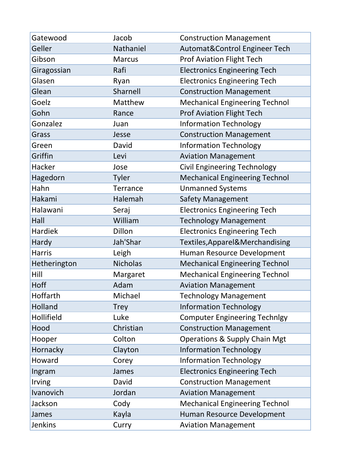| Gatewood       | Jacob           | <b>Construction Management</b>           |
|----------------|-----------------|------------------------------------------|
| Geller         | Nathaniel       | Automat&Control Engineer Tech            |
| Gibson         | <b>Marcus</b>   | <b>Prof Aviation Flight Tech</b>         |
| Giragossian    | Rafi            | <b>Electronics Engineering Tech</b>      |
| Glasen         | Ryan            | <b>Electronics Engineering Tech</b>      |
| Glean          | Sharnell        | <b>Construction Management</b>           |
| Goelz          | Matthew         | <b>Mechanical Engineering Technol</b>    |
| Gohn           | Rance           | <b>Prof Aviation Flight Tech</b>         |
| Gonzalez       | Juan            | <b>Information Technology</b>            |
| Grass          | Jesse           | <b>Construction Management</b>           |
| Green          | David           | <b>Information Technology</b>            |
| Griffin        | Levi            | <b>Aviation Management</b>               |
| Hacker         | Jose            | <b>Civil Engineering Technology</b>      |
| Hagedorn       | <b>Tyler</b>    | <b>Mechanical Engineering Technol</b>    |
| Hahn           | <b>Terrance</b> | <b>Unmanned Systems</b>                  |
| Hakami         | Halemah         | <b>Safety Management</b>                 |
| Halawani       | Seraj           | <b>Electronics Engineering Tech</b>      |
| Hall           | William         | <b>Technology Management</b>             |
| Hardiek        | Dillon          | <b>Electronics Engineering Tech</b>      |
| Hardy          | Jah'Shar        | Textiles, Apparel& Merchandising         |
| <b>Harris</b>  | Leigh           | Human Resource Development               |
| Hetherington   | <b>Nicholas</b> | <b>Mechanical Engineering Technol</b>    |
| Hill           | Margaret        | <b>Mechanical Engineering Technol</b>    |
| Hoff           | Adam            | <b>Aviation Management</b>               |
| Hoffarth       | Michael         | <b>Technology Management</b>             |
| Holland        | <b>Trey</b>     | <b>Information Technology</b>            |
| Hollifield     | Luke            | <b>Computer Engineering Technlgy</b>     |
| Hood           | Christian       | <b>Construction Management</b>           |
| Hooper         | Colton          | <b>Operations &amp; Supply Chain Mgt</b> |
| Hornacky       | Clayton         | <b>Information Technology</b>            |
| Howard         | Corey           | <b>Information Technology</b>            |
| Ingram         | James           | <b>Electronics Engineering Tech</b>      |
| Irving         | David           | <b>Construction Management</b>           |
| Ivanovich      | Jordan          | <b>Aviation Management</b>               |
| Jackson        | Cody            | <b>Mechanical Engineering Technol</b>    |
| James          | Kayla           | Human Resource Development               |
| <b>Jenkins</b> | Curry           | <b>Aviation Management</b>               |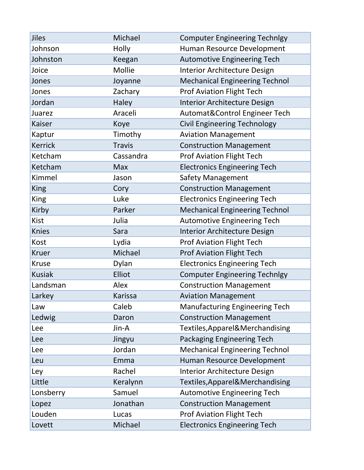| <b>Jiles</b>   | Michael        | <b>Computer Engineering Technlgy</b>  |
|----------------|----------------|---------------------------------------|
| Johnson        | Holly          | Human Resource Development            |
| Johnston       | Keegan         | <b>Automotive Engineering Tech</b>    |
| Joice          | Mollie         | Interior Architecture Design          |
| Jones          | Joyanne        | <b>Mechanical Engineering Technol</b> |
| Jones          | Zachary        | <b>Prof Aviation Flight Tech</b>      |
| Jordan         | Haley          | <b>Interior Architecture Design</b>   |
| Juarez         | Araceli        | Automat&Control Engineer Tech         |
| <b>Kaiser</b>  | Koye           | <b>Civil Engineering Technology</b>   |
| Kaptur         | Timothy        | <b>Aviation Management</b>            |
| <b>Kerrick</b> | <b>Travis</b>  | <b>Construction Management</b>        |
| Ketcham        | Cassandra      | <b>Prof Aviation Flight Tech</b>      |
| Ketcham        | Max            | <b>Electronics Engineering Tech</b>   |
| Kimmel         | Jason          | Safety Management                     |
| <b>King</b>    | Cory           | <b>Construction Management</b>        |
| <b>King</b>    | Luke           | <b>Electronics Engineering Tech</b>   |
| Kirby          | Parker         | <b>Mechanical Engineering Technol</b> |
| <b>Kist</b>    | Julia          | <b>Automotive Engineering Tech</b>    |
| <b>Knies</b>   | Sara           | Interior Architecture Design          |
| Kost           | Lydia          | <b>Prof Aviation Flight Tech</b>      |
| <b>Kruer</b>   | Michael        | <b>Prof Aviation Flight Tech</b>      |
| <b>Kruse</b>   | Dylan          | <b>Electronics Engineering Tech</b>   |
| <b>Kusiak</b>  | Elliot         | <b>Computer Engineering Technlgy</b>  |
| Landsman       | Alex           | <b>Construction Management</b>        |
| Larkey         | <b>Karissa</b> | <b>Aviation Management</b>            |
| Law            | Caleb          | <b>Manufacturing Engineering Tech</b> |
| Ledwig         | Daron          | <b>Construction Management</b>        |
| Lee            | Jin-A          | Textiles, Apparel & Merchandising     |
| Lee            | Jingyu         | Packaging Engineering Tech            |
| Lee            | Jordan         | <b>Mechanical Engineering Technol</b> |
| Leu            | Emma           | Human Resource Development            |
| Ley            | Rachel         | <b>Interior Architecture Design</b>   |
| Little         | Keralynn       | Textiles, Apparel& Merchandising      |
| Lonsberry      | Samuel         | <b>Automotive Engineering Tech</b>    |
| Lopez          | Jonathan       | <b>Construction Management</b>        |
| Louden         | Lucas          | <b>Prof Aviation Flight Tech</b>      |
| Lovett         | Michael        | <b>Electronics Engineering Tech</b>   |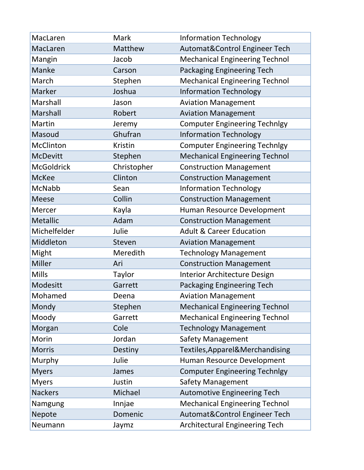| MacLaren          | Mark        | <b>Information Technology</b>         |
|-------------------|-------------|---------------------------------------|
| MacLaren          | Matthew     | Automat&Control Engineer Tech         |
| Mangin            | Jacob       | <b>Mechanical Engineering Technol</b> |
| Manke             | Carson      | Packaging Engineering Tech            |
| March             | Stephen     | <b>Mechanical Engineering Technol</b> |
| Marker            | Joshua      | <b>Information Technology</b>         |
| Marshall          | Jason       | <b>Aviation Management</b>            |
| Marshall          | Robert      | <b>Aviation Management</b>            |
| Martin            | Jeremy      | <b>Computer Engineering Technlgy</b>  |
| Masoud            | Ghufran     | <b>Information Technology</b>         |
| McClinton         | Kristin     | <b>Computer Engineering Technlgy</b>  |
| <b>McDevitt</b>   | Stephen     | <b>Mechanical Engineering Technol</b> |
| <b>McGoldrick</b> | Christopher | <b>Construction Management</b>        |
| <b>McKee</b>      | Clinton     | <b>Construction Management</b>        |
| McNabb            | Sean        | <b>Information Technology</b>         |
| <b>Meese</b>      | Collin      | <b>Construction Management</b>        |
| Mercer            | Kayla       | Human Resource Development            |
| <b>Metallic</b>   | Adam        | <b>Construction Management</b>        |
| Michelfelder      | Julie       | <b>Adult &amp; Career Education</b>   |
| Middleton         | Steven      | <b>Aviation Management</b>            |
| Might             | Meredith    | <b>Technology Management</b>          |
| Miller            | Ari         | <b>Construction Management</b>        |
| <b>Mills</b>      | Taylor      | <b>Interior Architecture Design</b>   |
| Modesitt          | Garrett     | Packaging Engineering Tech            |
| Mohamed           | Deena       | <b>Aviation Management</b>            |
| Mondy             | Stephen     | <b>Mechanical Engineering Technol</b> |
| Moody             | Garrett     | <b>Mechanical Engineering Technol</b> |
| Morgan            | Cole        | <b>Technology Management</b>          |
| Morin             | Jordan      | <b>Safety Management</b>              |
| <b>Morris</b>     | Destiny     | Textiles, Apparel& Merchandising      |
| Murphy            | Julie       | Human Resource Development            |
| <b>Myers</b>      | James       | <b>Computer Engineering Technlgy</b>  |
| <b>Myers</b>      | Justin      | <b>Safety Management</b>              |
| <b>Nackers</b>    | Michael     | <b>Automotive Engineering Tech</b>    |
| Namgung           | Innjae      | <b>Mechanical Engineering Technol</b> |
| Nepote            | Domenic     | Automat&Control Engineer Tech         |
| Neumann           | Jaymz       | <b>Architectural Engineering Tech</b> |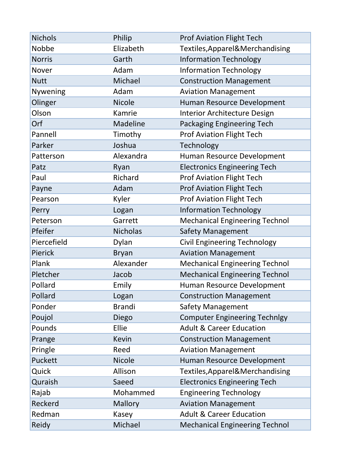| <b>Nichols</b> | Philip          | <b>Prof Aviation Flight Tech</b>      |
|----------------|-----------------|---------------------------------------|
| Nobbe          | Elizabeth       | Textiles, Apparel& Merchandising      |
| <b>Norris</b>  | Garth           | <b>Information Technology</b>         |
| Nover          | Adam            | <b>Information Technology</b>         |
| <b>Nutt</b>    | Michael         | <b>Construction Management</b>        |
| Nywening       | Adam            | <b>Aviation Management</b>            |
| Olinger        | <b>Nicole</b>   | Human Resource Development            |
| Olson          | Kamrie          | <b>Interior Architecture Design</b>   |
| Orf            | Madeline        | Packaging Engineering Tech            |
| Pannell        | Timothy         | <b>Prof Aviation Flight Tech</b>      |
| Parker         | Joshua          | Technology                            |
| Patterson      | Alexandra       | Human Resource Development            |
| Patz           | Ryan            | <b>Electronics Engineering Tech</b>   |
| Paul           | Richard         | <b>Prof Aviation Flight Tech</b>      |
| Payne          | Adam            | <b>Prof Aviation Flight Tech</b>      |
| Pearson        | Kyler           | <b>Prof Aviation Flight Tech</b>      |
| Perry          | Logan           | <b>Information Technology</b>         |
| Peterson       | Garrett         | <b>Mechanical Engineering Technol</b> |
| Pfeifer        | <b>Nicholas</b> | <b>Safety Management</b>              |
| Piercefield    | Dylan           | <b>Civil Engineering Technology</b>   |
| Pierick        | <b>Bryan</b>    | <b>Aviation Management</b>            |
| Plank          | Alexander       | <b>Mechanical Engineering Technol</b> |
| Pletcher       | Jacob           | <b>Mechanical Engineering Technol</b> |
| Pollard        | Emily           | Human Resource Development            |
| Pollard        | Logan           | <b>Construction Management</b>        |
| Ponder         | <b>Brandi</b>   | <b>Safety Management</b>              |
| Poujol         | Diego           | <b>Computer Engineering Technlgy</b>  |
| Pounds         | Ellie           | <b>Adult &amp; Career Education</b>   |
| Prange         | Kevin           | <b>Construction Management</b>        |
| Pringle        | Reed            | <b>Aviation Management</b>            |
| Puckett        | <b>Nicole</b>   | Human Resource Development            |
| Quick          | Allison         | Textiles, Apparel & Merchandising     |
| Quraish        | Saeed           | <b>Electronics Engineering Tech</b>   |
| Rajab          | Mohammed        | <b>Engineering Technology</b>         |
| Reckerd        | Mallory         | <b>Aviation Management</b>            |
| Redman         | Kasey           | <b>Adult &amp; Career Education</b>   |
| Reidy          | Michael         | <b>Mechanical Engineering Technol</b> |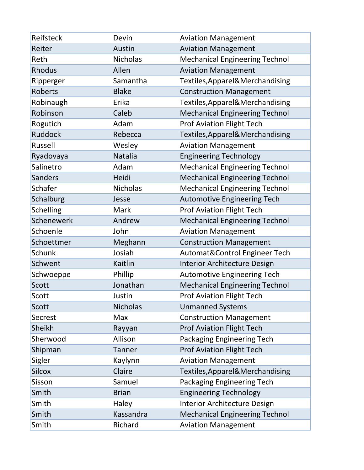| Reifsteck        | Devin           | <b>Aviation Management</b>            |
|------------------|-----------------|---------------------------------------|
| Reiter           | Austin          | <b>Aviation Management</b>            |
| Reth             | <b>Nicholas</b> | <b>Mechanical Engineering Technol</b> |
| <b>Rhodus</b>    | Allen           | <b>Aviation Management</b>            |
| Ripperger        | Samantha        | Textiles, Apparel& Merchandising      |
| <b>Roberts</b>   | <b>Blake</b>    | <b>Construction Management</b>        |
| Robinaugh        | Erika           | Textiles, Apparel& Merchandising      |
| Robinson         | Caleb           | <b>Mechanical Engineering Technol</b> |
| Rogutich         | Adam            | <b>Prof Aviation Flight Tech</b>      |
| <b>Ruddock</b>   | Rebecca         | Textiles, Apparel& Merchandising      |
| Russell          | Wesley          | <b>Aviation Management</b>            |
| Ryadovaya        | Natalia         | <b>Engineering Technology</b>         |
| Salinetro        | Adam            | <b>Mechanical Engineering Technol</b> |
| <b>Sanders</b>   | Heidi           | <b>Mechanical Engineering Technol</b> |
| Schafer          | <b>Nicholas</b> | <b>Mechanical Engineering Technol</b> |
| Schalburg        | Jesse           | <b>Automotive Engineering Tech</b>    |
| <b>Schelling</b> | Mark            | <b>Prof Aviation Flight Tech</b>      |
| Schenewerk       | Andrew          | <b>Mechanical Engineering Technol</b> |
| Schoenle         | John            | <b>Aviation Management</b>            |
| Schoettmer       | Meghann         | <b>Construction Management</b>        |
| Schunk           | Josiah          | Automat&Control Engineer Tech         |
| Schwent          | Kaitlin         | <b>Interior Architecture Design</b>   |
| Schwoeppe        | Phillip         | <b>Automotive Engineering Tech</b>    |
| Scott            | Jonathan        | <b>Mechanical Engineering Technol</b> |
| Scott            | Justin          | <b>Prof Aviation Flight Tech</b>      |
| Scott            | <b>Nicholas</b> | <b>Unmanned Systems</b>               |
| Secrest          | Max             | <b>Construction Management</b>        |
| Sheikh           | Rayyan          | <b>Prof Aviation Flight Tech</b>      |
| Sherwood         | Allison         | Packaging Engineering Tech            |
| Shipman          | Tanner          | <b>Prof Aviation Flight Tech</b>      |
| Sigler           | Kaylynn         | <b>Aviation Management</b>            |
| <b>Silcox</b>    | Claire          | Textiles, Apparel & Merchandising     |
| Sisson           | Samuel          | Packaging Engineering Tech            |
| Smith            | <b>Brian</b>    | <b>Engineering Technology</b>         |
| Smith            | Haley           | <b>Interior Architecture Design</b>   |
| Smith            | Kassandra       | <b>Mechanical Engineering Technol</b> |
| Smith            | Richard         | <b>Aviation Management</b>            |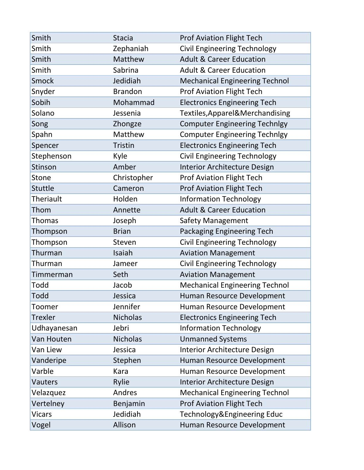| Smith            | <b>Stacia</b>   | <b>Prof Aviation Flight Tech</b>      |
|------------------|-----------------|---------------------------------------|
| Smith            | Zephaniah       | <b>Civil Engineering Technology</b>   |
| Smith            | Matthew         | <b>Adult &amp; Career Education</b>   |
| Smith            | Sabrina         | <b>Adult &amp; Career Education</b>   |
| <b>Smock</b>     | Jedidiah        | <b>Mechanical Engineering Technol</b> |
| Snyder           | <b>Brandon</b>  | <b>Prof Aviation Flight Tech</b>      |
| Sobih            | Mohammad        | <b>Electronics Engineering Tech</b>   |
| Solano           | Jessenia        | Textiles, Apparel& Merchandising      |
| Song             | Zhongze         | <b>Computer Engineering Technlgy</b>  |
| Spahn            | Matthew         | <b>Computer Engineering Technlgy</b>  |
| Spencer          | <b>Tristin</b>  | <b>Electronics Engineering Tech</b>   |
| Stephenson       | Kyle            | <b>Civil Engineering Technology</b>   |
| Stinson          | Amber           | Interior Architecture Design          |
| Stone            | Christopher     | <b>Prof Aviation Flight Tech</b>      |
| Stuttle          | Cameron         | <b>Prof Aviation Flight Tech</b>      |
| <b>Theriault</b> | Holden          | <b>Information Technology</b>         |
| Thom             | Annette         | <b>Adult &amp; Career Education</b>   |
| <b>Thomas</b>    | Joseph          | <b>Safety Management</b>              |
| Thompson         | <b>Brian</b>    | Packaging Engineering Tech            |
| Thompson         | Steven          | <b>Civil Engineering Technology</b>   |
| Thurman          | Isaiah          | <b>Aviation Management</b>            |
| Thurman          | Jameer          | <b>Civil Engineering Technology</b>   |
| Timmerman        | Seth            | <b>Aviation Management</b>            |
| Todd             | Jacob           | <b>Mechanical Engineering Technol</b> |
| Todd             | Jessica         | Human Resource Development            |
| Toomer           | Jennifer        | Human Resource Development            |
| Trexler          | <b>Nicholas</b> | <b>Electronics Engineering Tech</b>   |
| Udhayanesan      | Jebri           | <b>Information Technology</b>         |
| Van Houten       | <b>Nicholas</b> | <b>Unmanned Systems</b>               |
| Van Liew         | Jessica         | Interior Architecture Design          |
| Vanderipe        | Stephen         | Human Resource Development            |
| Varble           | Kara            | Human Resource Development            |
| Vauters          | Rylie           | Interior Architecture Design          |
| Velazquez        | Andres          | <b>Mechanical Engineering Technol</b> |
| Vertelney        | Benjamin        | <b>Prof Aviation Flight Tech</b>      |
| <b>Vicars</b>    | Jedidiah        | Technology&Engineering Educ           |
| Vogel            | Allison         | Human Resource Development            |